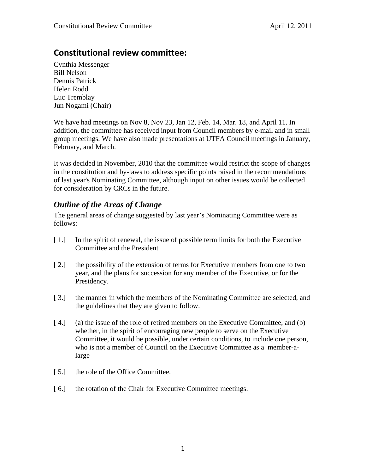# **Constitutional review committee:**

Cynthia Messenger Bill Nelson Dennis Patrick Helen Rodd Luc Tremblay Jun Nogami (Chair)

We have had meetings on Nov 8, Nov 23, Jan 12, Feb. 14, Mar. 18, and April 11. In addition, the committee has received input from Council members by e-mail and in small group meetings. We have also made presentations at UTFA Council meetings in January, February, and March.

It was decided in November, 2010 that the committee would restrict the scope of changes in the constitution and by-laws to address specific points raised in the recommendations of last year's Nominating Committee, although input on other issues would be collected for consideration by CRCs in the future.

# *Outline of the Areas of Change*

The general areas of change suggested by last year's Nominating Committee were as follows:

- [1.] In the spirit of renewal, the issue of possible term limits for both the Executive Committee and the President
- [ 2.] the possibility of the extension of terms for Executive members from one to two year, and the plans for succession for any member of the Executive, or for the Presidency.
- [ 3.] the manner in which the members of the Nominating Committee are selected, and the guidelines that they are given to follow.
- [4.] (a) the issue of the role of retired members on the Executive Committee, and (b) whether, in the spirit of encouraging new people to serve on the Executive Committee, it would be possible, under certain conditions, to include one person, who is not a member of Council on the Executive Committee as a member-alarge
- [5.] the role of the Office Committee.
- [6.] the rotation of the Chair for Executive Committee meetings.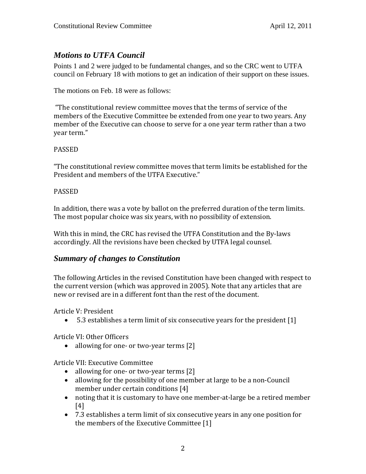# *Motions to UTFA Council*

Points 1 and 2 were judged to be fundamental changes, and so the CRC went to UTFA council on February 18 with motions to get an indication of their support on these issues.

The motions on Feb. 18 were as follows:

 "The constitutional review committee moves that the terms of service of the members of the Executive Committee be extended from one year to two years. Any member of the Executive can choose to serve for a one year term rather than a two year term."

### PASSED

"The constitutional review committee moves that term limits be established for the President and members of the UTFA Executive."

### PASSED

In addition, there was a vote by ballot on the preferred duration of the term limits. The most popular choice was six years, with no possibility of extension.

With this in mind, the CRC has revised the UTFA Constitution and the By‐laws accordingly. All the revisions have been checked by UTFA legal counsel.

## *Summary of changes to Constitution*

The following Articles in the revised Constitution have been changed with respect to the current version (which was approved in 2005). Note that any articles that are new or revised are in a different font than the rest of the document.

Article V: President

5.3 establishes a term limit of six consecutive years for the president [1]

Article VI: Other Officers

• allowing for one- or two-year terms [2]

Article VII: Executive Committee

- allowing for one- or two-year terms [2]
- allowing for the possibility of one member at large to be a non-Council member under certain conditions [4]
- noting that it is customary to have one member‐at‐large be a retired member [4]
- 7.3 establishes a term limit of six consecutive years in any one position for the members of the Executive Committee [1]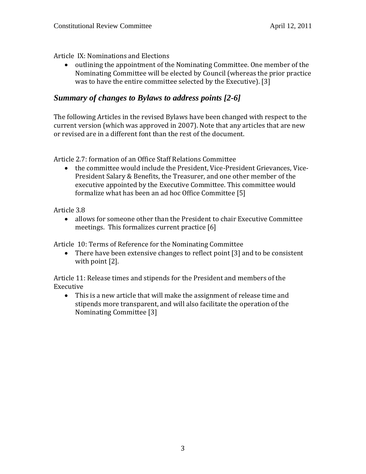Article IX: Nominations and Elections

• outlining the appointment of the Nominating Committee. One member of the Nominating Committee will be elected by Council (whereas the prior practice was to have the entire committee selected by the Executive). [3]

## *Summary of changes to Bylaws to address points [2-6]*

The following Articles in the revised Bylaws have been changed with respect to the current version (which was approved in 2007). Note that any articles that are new or revised are in a different font than the rest of the document.

Article 2.7: formation of an Office Staff Relations Committee

● the committee would include the President, Vice-President Grievances, Vice-President Salary & Benefits, the Treasurer, and one other member of the executive appointed by the Executive Committee. This committee would formalize what has been an ad hoc Office Committee [5]

Article 3.8

 allows for someone other than the President to chair Executive Committee meetings. This formalizes current practice [6]

Article 10: Terms of Reference for the Nominating Committee

• There have been extensive changes to reflect point [3] and to be consistent with point [2].

Article 11: Release times and stipends for the President and members of the Executive

 This is a new article that will make the assignment of release time and stipends more transparent, and will also facilitate the operation of the Nominating Committee [3]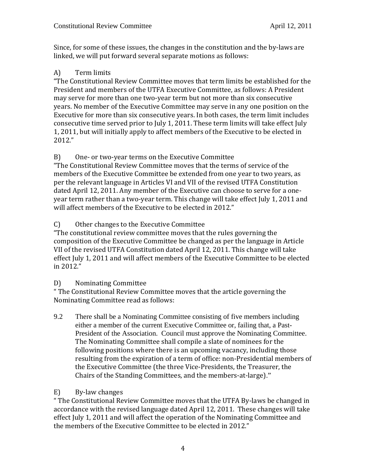Since, for some of these issues, the changes in the constitution and the by‐laws are linked, we will put forward several separate motions as follows:

## A) Term limits

"The Constitutional Review Committee moves that term limits be established for the President and members of the UTFA Executive Committee, as follows: A President may serve for more than one two‐year term but not more than six consecutive years. No member of the Executive Committee may serve in any one position on the Executive for more than six consecutive years. In both cases, the term limit includes consecutive time served prior to July 1, 2011. These term limits will take effect July 1, 2011, but will initially apply to affect members of the Executive to be elected in 2012."

## B) One- or two-year terms on the Executive Committee

"The Constitutional Review Committee moves that the terms of service of the members of the Executive Committee be extended from one year to two years, as per the relevant language in Articles VI and VII of the revised UTFA Constitution dated April 12, 2011. Any member of the Executive can choose to serve for a one‐ year term rather than a two‐year term. This change will take effect July 1, 2011 and will affect members of the Executive to be elected in 2012."

## C) Other changes to the Executive Committee

"The constitutional review committee moves that the rules governing the composition of the Executive Committee be changed as per the language in Article VII of the revised UTFA Constitution dated April 12, 2011. This change will take effect July 1, 2011 and will affect members of the Executive Committee to be elected in 2012."

## D) Nominating Committee

" The Constitutional Review Committee moves that the article governing the Nominating Committee read as follows:

9.2 There shall be a Nominating Committee consisting of five members including either a member of the current Executive Committee or, failing that, a Past-President of the Association. Council must approve the Nominating Committee. The Nominating Committee shall compile a slate of nominees for the following positions where there is an upcoming vacancy, including those resulting from the expiration of a term of office: non‐Presidential members of the Executive Committee (the three Vice‐Presidents, the Treasurer, the Chairs of the Standing Committees, and the members‐at‐large)."

## E) By-law changes

" The Constitutional Review Committee moves that the UTFA By‐laws be changed in accordance with the revised language dated April 12, 2011. These changes will take effect July 1, 2011 and will affect the operation of the Nominating Committee and the members of the Executive Committee to be elected in 2012."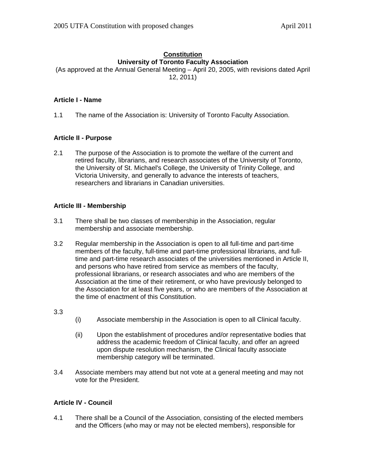## **Constitution University of Toronto Faculty Association**

(As approved at the Annual General Meeting – April 20, 2005, with revisions dated April 12, 2011)

### **Article I - Name**

1.1 The name of the Association is: University of Toronto Faculty Association.

### **Article II - Purpose**

2.1 The purpose of the Association is to promote the welfare of the current and retired faculty, librarians, and research associates of the University of Toronto, the University of St. Michael's College, the University of Trinity College, and Victoria University, and generally to advance the interests of teachers, researchers and librarians in Canadian universities.

### **Article III - Membership**

- 3.1 There shall be two classes of membership in the Association, regular membership and associate membership.
- 3.2 Regular membership in the Association is open to all full-time and part-time members of the faculty, full-time and part-time professional librarians, and fulltime and part-time research associates of the universities mentioned in Article II, and persons who have retired from service as members of the faculty, professional librarians, or research associates and who are members of the Association at the time of their retirement, or who have previously belonged to the Association for at least five years, or who are members of the Association at the time of enactment of this Constitution.

#### 3.3

- (i) Associate membership in the Association is open to all Clinical faculty.
- (ii) Upon the establishment of procedures and/or representative bodies that address the academic freedom of Clinical faculty, and offer an agreed upon dispute resolution mechanism, the Clinical faculty associate membership category will be terminated.
- 3.4 Associate members may attend but not vote at a general meeting and may not vote for the President.

### **Article IV - Council**

4.1 There shall be a Council of the Association, consisting of the elected members and the Officers (who may or may not be elected members), responsible for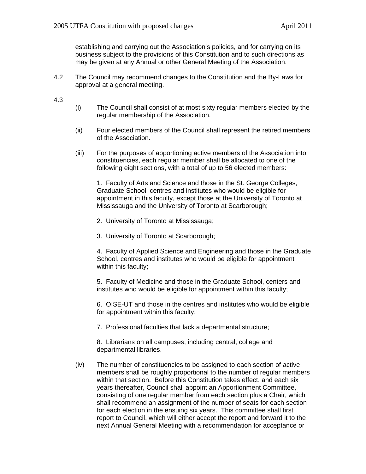establishing and carrying out the Association's policies, and for carrying on its business subject to the provisions of this Constitution and to such directions as may be given at any Annual or other General Meeting of the Association.

- 4.2 The Council may recommend changes to the Constitution and the By-Laws for approval at a general meeting.
- 4.3
- (i) The Council shall consist of at most sixty regular members elected by the regular membership of the Association.
- (ii) Four elected members of the Council shall represent the retired members of the Association.
- (iii) For the purposes of apportioning active members of the Association into constituencies, each regular member shall be allocated to one of the following eight sections, with a total of up to 56 elected members:

1. Faculty of Arts and Science and those in the St. George Colleges, Graduate School, centres and institutes who would be eligible for appointment in this faculty, except those at the University of Toronto at Mississauga and the University of Toronto at Scarborough;

- 2. University of Toronto at Mississauga;
- 3. University of Toronto at Scarborough;

4. Faculty of Applied Science and Engineering and those in the Graduate School, centres and institutes who would be eligible for appointment within this faculty;

5. Faculty of Medicine and those in the Graduate School, centers and institutes who would be eligible for appointment within this faculty;

6. OISE-UT and those in the centres and institutes who would be eligible for appointment within this faculty;

7. Professional faculties that lack a departmental structure;

8. Librarians on all campuses, including central, college and departmental libraries.

(iv) The number of constituencies to be assigned to each section of active members shall be roughly proportional to the number of regular members within that section. Before this Constitution takes effect, and each six years thereafter, Council shall appoint an Apportionment Committee, consisting of one regular member from each section plus a Chair, which shall recommend an assignment of the number of seats for each section for each election in the ensuing six years. This committee shall first report to Council, which will either accept the report and forward it to the next Annual General Meeting with a recommendation for acceptance or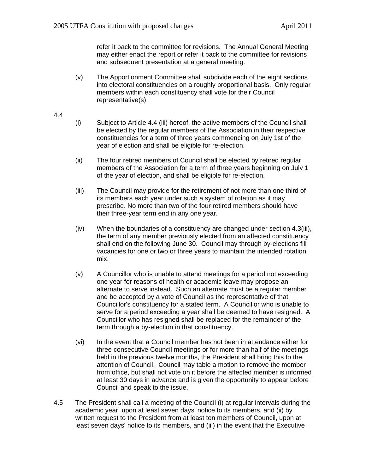refer it back to the committee for revisions. The Annual General Meeting may either enact the report or refer it back to the committee for revisions and subsequent presentation at a general meeting.

- (v) The Apportionment Committee shall subdivide each of the eight sections into electoral constituencies on a roughly proportional basis. Only regular members within each constituency shall vote for their Council representative(s).
- 4.4
- (i) Subject to Article 4.4 (iii) hereof, the active members of the Council shall be elected by the regular members of the Association in their respective constituencies for a term of three years commencing on July 1st of the year of election and shall be eligible for re-election.
- (ii) The four retired members of Council shall be elected by retired regular members of the Association for a term of three years beginning on July 1 of the year of election, and shall be eligible for re-election.
- (iii) The Council may provide for the retirement of not more than one third of its members each year under such a system of rotation as it may prescribe. No more than two of the four retired members should have their three-year term end in any one year.
- (iv) When the boundaries of a constituency are changed under section 4.3(iii), the term of any member previously elected from an affected constituency shall end on the following June 30. Council may through by-elections fill vacancies for one or two or three years to maintain the intended rotation mix.
- (v) A Councillor who is unable to attend meetings for a period not exceeding one year for reasons of health or academic leave may propose an alternate to serve instead. Such an alternate must be a regular member and be accepted by a vote of Council as the representative of that Councillor's constituency for a stated term. A Councillor who is unable to serve for a period exceeding a year shall be deemed to have resigned. A Councillor who has resigned shall be replaced for the remainder of the term through a by-election in that constituency.
- (vi) In the event that a Council member has not been in attendance either for three consecutive Council meetings or for more than half of the meetings held in the previous twelve months, the President shall bring this to the attention of Council. Council may table a motion to remove the member from office, but shall not vote on it before the affected member is informed at least 30 days in advance and is given the opportunity to appear before Council and speak to the issue.
- 4.5 The President shall call a meeting of the Council (i) at regular intervals during the academic year, upon at least seven days' notice to its members, and (ii) by written request to the President from at least ten members of Council, upon at least seven days' notice to its members, and (iii) in the event that the Executive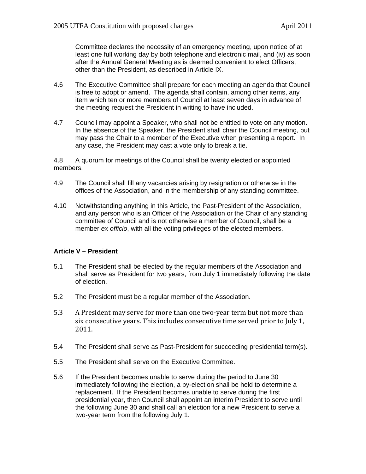Committee declares the necessity of an emergency meeting, upon notice of at least one full working day by both telephone and electronic mail, and (iv) as soon after the Annual General Meeting as is deemed convenient to elect Officers, other than the President, as described in Article IX.

- 4.6 The Executive Committee shall prepare for each meeting an agenda that Council is free to adopt or amend. The agenda shall contain, among other items, any item which ten or more members of Council at least seven days in advance of the meeting request the President in writing to have included.
- 4.7 Council may appoint a Speaker, who shall not be entitled to vote on any motion. In the absence of the Speaker, the President shall chair the Council meeting, but may pass the Chair to a member of the Executive when presenting a report. In any case, the President may cast a vote only to break a tie.

4.8 A quorum for meetings of the Council shall be twenty elected or appointed members.

- 4.9 The Council shall fill any vacancies arising by resignation or otherwise in the offices of the Association, and in the membership of any standing committee.
- 4.10 Notwithstanding anything in this Article, the Past-President of the Association, and any person who is an Officer of the Association or the Chair of any standing committee of Council and is not otherwise a member of Council, shall be a member *ex officio*, with all the voting privileges of the elected members.

#### **Article V – President**

- 5.1 The President shall be elected by the regular members of the Association and shall serve as President for two years, from July 1 immediately following the date of election.
- 5.2 The President must be a regular member of the Association.
- 5.3 A President may serve for more than one two-year term but not more than six consecutive years. This includes consecutive time served prior to July 1, 2011.
- 5.4 The President shall serve as Past-President for succeeding presidential term(s).
- 5.5 The President shall serve on the Executive Committee.
- 5.6 If the President becomes unable to serve during the period to June 30 immediately following the election, a by-election shall be held to determine a replacement. If the President becomes unable to serve during the first presidential year, then Council shall appoint an interim President to serve until the following June 30 and shall call an election for a new President to serve a two-year term from the following July 1.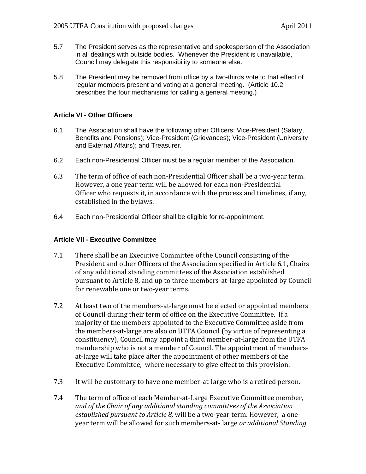- 5.7 The President serves as the representative and spokesperson of the Association in all dealings with outside bodies. Whenever the President is unavailable, Council may delegate this responsibility to someone else.
- 5.8 The President may be removed from office by a two-thirds vote to that effect of regular members present and voting at a general meeting. (Article 10.2 prescribes the four mechanisms for calling a general meeting.)

#### **Article VI - Other Officers**

- 6.1 The Association shall have the following other Officers: Vice-President (Salary, Benefits and Pensions); Vice-President (Grievances); Vice-President (University and External Affairs); and Treasurer.
- 6.2 Each non-Presidential Officer must be a regular member of the Association.
- 6.3 The term of office of each non‐Presidential Officer shall be a two‐year term. However, a one year term will be allowed for each non‐Presidential Officer who requests it, in accordance with the process and timelines, if any, established in the bylaws.
- 6.4 Each non-Presidential Officer shall be eligible for re-appointment.

### **Article VII - Executive Committee**

- 7.1 There shall be an Executive Committee of the Council consisting of the President and other Officers of the Association specified in Article 6.1, Chairs of any additional standing committees of the Association established pursuant to Article 8, and up to three members‐at‐large appointed by Council for renewable one or two‐year terms.
- 7.2 At least two of the members‐at‐large must be elected or appointed members of Council during their term of office on the Executive Committee. If a majority of the members appointed to the Executive Committee aside from the members‐at‐large are also on UTFA Council (by virtue of representing a constituency), Council may appoint a third member‐at‐large from the UTFA membership who is not a member of Council. The appointment of membersat‐large will take place after the appointment of other members of the Executive Committee, where necessary to give effect to this provision.
- 7.3 It will be customary to have one member‐at‐large who is a retired person.
- 7.4 The term of office of each Member‐at‐Large Executive Committee member, *and of the Chair of any additional standing committees of the Association established pursuant to Article 8,* will be a two‐year term. However, a one‐ year term will be allowed for such members‐at‐ large *or additional Standing*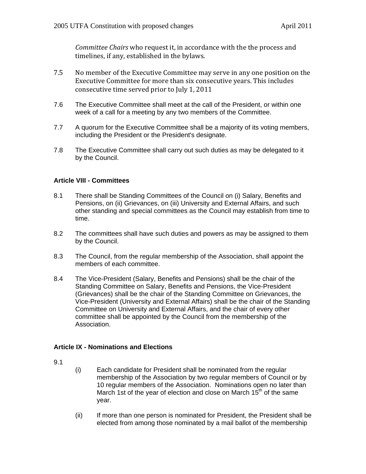*Committee Chairs* who request it, in accordance with the the process and timelines, if any, established in the bylaws.

- 7.5 No member of the Executive Committee may serve in any one position on the Executive Committee for more than six consecutive years. This includes consecutive time served prior to July 1, 2011
- 7.6 The Executive Committee shall meet at the call of the President, or within one week of a call for a meeting by any two members of the Committee.
- 7.7 A quorum for the Executive Committee shall be a majority of its voting members, including the President or the President's designate.
- 7.8 The Executive Committee shall carry out such duties as may be delegated to it by the Council.

#### **Article VIII - Committees**

- 8.1 There shall be Standing Committees of the Council on (i) Salary, Benefits and Pensions, on (ii) Grievances, on (iii) University and External Affairs, and such other standing and special committees as the Council may establish from time to time.
- 8.2 The committees shall have such duties and powers as may be assigned to them by the Council.
- 8.3 The Council, from the regular membership of the Association, shall appoint the members of each committee.
- 8.4 The Vice-President (Salary, Benefits and Pensions) shall be the chair of the Standing Committee on Salary, Benefits and Pensions, the Vice-President (Grievances) shall be the chair of the Standing Committee on Grievances, the Vice-President (University and External Affairs) shall be the chair of the Standing Committee on University and External Affairs, and the chair of every other committee shall be appointed by the Council from the membership of the Association.

### **Article IX - Nominations and Elections**

#### 9.1

- (i) Each candidate for President shall be nominated from the regular membership of the Association by two regular members of Council or by 10 regular members of the Association. Nominations open no later than March 1st of the year of election and close on March  $15<sup>th</sup>$  of the same year.
- (ii) If more than one person is nominated for President, the President shall be elected from among those nominated by a mail ballot of the membership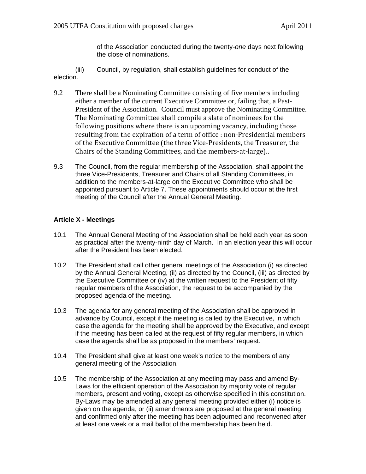of the Association conducted during the twenty*-one* days next following the close of nominations.

(iii) Council, by regulation, shall establish guidelines for conduct of the election.

- 9.2 There shall be a Nominating Committee consisting of five members including either a member of the current Executive Committee or, failing that, a Past-President of the Association. Council must approve the Nominating Committee. The Nominating Committee shall compile a slate of nominees for the following positions where there is an upcoming vacancy, including those resulting from the expiration of a term of office : non‐Presidential members of the Executive Committee (the three Vice‐Presidents, the Treasurer, the Chairs of the Standing Committees, and the members‐at‐large)..
- 9.3 The Council, from the regular membership of the Association, shall appoint the three Vice-Presidents, Treasurer and Chairs of all Standing Committees, in addition to the members-at-large on the Executive Committee who shall be appointed pursuant to Article 7. These appointments should occur at the first meeting of the Council after the Annual General Meeting.

### **Article X - Meetings**

- 10.1 The Annual General Meeting of the Association shall be held each year as soon as practical after the twenty-ninth day of March. In an election year this will occur after the President has been elected.
- 10.2 The President shall call other general meetings of the Association (i) as directed by the Annual General Meeting, (ii) as directed by the Council, (iii) as directed by the Executive Committee or (iv) at the written request to the President of fifty regular members of the Association, the request to be accompanied by the proposed agenda of the meeting.
- 10.3 The agenda for any general meeting of the Association shall be approved in advance by Council, except if the meeting is called by the Executive, in which case the agenda for the meeting shall be approved by the Executive, and except if the meeting has been called at the request of fifty regular members, in which case the agenda shall be as proposed in the members' request.
- 10.4 The President shall give at least one week's notice to the members of any general meeting of the Association.
- 10.5 The membership of the Association at any meeting may pass and amend By-Laws for the efficient operation of the Association by majority vote of regular members, present and voting, except as otherwise specified in this constitution. By-Laws may be amended at any general meeting provided either (i) notice is given on the agenda, or (ii) amendments are proposed at the general meeting and confirmed only after the meeting has been adjourned and reconvened after at least one week or a mail ballot of the membership has been held.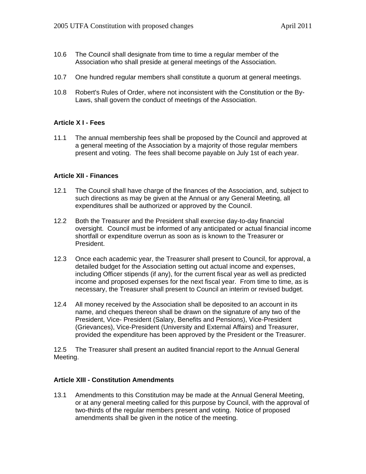- 10.6 The Council shall designate from time to time a regular member of the Association who shall preside at general meetings of the Association.
- 10.7 One hundred regular members shall constitute a quorum at general meetings.
- 10.8 Robert's Rules of Order, where not inconsistent with the Constitution or the By-Laws, shall govern the conduct of meetings of the Association.

#### **Article X I - Fees**

11.1 The annual membership fees shall be proposed by the Council and approved at a general meeting of the Association by a majority of those regular members present and voting. The fees shall become payable on July 1st of each year.

#### **Article XII - Finances**

- 12.1 The Council shall have charge of the finances of the Association, and, subject to such directions as may be given at the Annual or any General Meeting, all expenditures shall be authorized or approved by the Council.
- 12.2 Both the Treasurer and the President shall exercise day-to-day financial oversight. Council must be informed of any anticipated or actual financial income shortfall or expenditure overrun as soon as is known to the Treasurer or President.
- 12.3 Once each academic year, the Treasurer shall present to Council, for approval, a detailed budget for the Association setting out actual income and expenses, including Officer stipends (if any), for the current fiscal year as well as predicted income and proposed expenses for the next fiscal year. From time to time, as is necessary, the Treasurer shall present to Council an interim or revised budget.
- 12.4 All money received by the Association shall be deposited to an account in its name, and cheques thereon shall be drawn on the signature of any two of the President, Vice- President (Salary, Benefits and Pensions), Vice-President (Grievances), Vice-President (University and External Affairs) and Treasurer, provided the expenditure has been approved by the President or the Treasurer.

12.5 The Treasurer shall present an audited financial report to the Annual General Meeting.

#### **Article XIII - Constitution Amendments**

13.1 Amendments to this Constitution may be made at the Annual General Meeting, or at any general meeting called for this purpose by Council, with the approval of two-thirds of the regular members present and voting. Notice of proposed amendments shall be given in the notice of the meeting.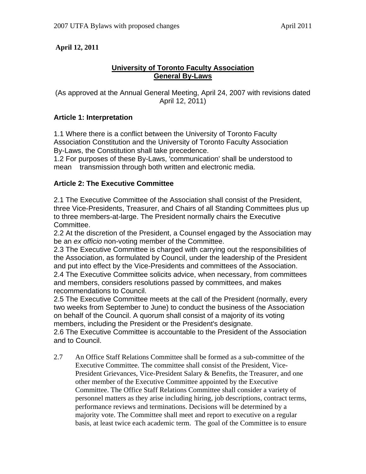## **April 12, 2011**

## **University of Toronto Faculty Association General By-Laws**

(As approved at the Annual General Meeting, April 24, 2007 with revisions dated April 12, 2011)

### **Article 1: Interpretation**

1.1 Where there is a conflict between the University of Toronto Faculty Association Constitution and the University of Toronto Faculty Association By-Laws, the Constitution shall take precedence.

1.2 For purposes of these By-Laws, 'communication' shall be understood to mean transmission through both written and electronic media.

### **Article 2: The Executive Committee**

2.1 The Executive Committee of the Association shall consist of the President, three Vice-Presidents, Treasurer, and Chairs of all Standing Committees plus up to three members-at-large. The President normally chairs the Executive Committee.

2.2 At the discretion of the President, a Counsel engaged by the Association may be an *ex officio* non-voting member of the Committee.

2.3 The Executive Committee is charged with carrying out the responsibilities of the Association, as formulated by Council, under the leadership of the President and put into effect by the Vice-Presidents and committees of the Association. 2.4 The Executive Committee solicits advice, when necessary, from committees and members, considers resolutions passed by committees, and makes recommendations to Council.

2.5 The Executive Committee meets at the call of the President (normally, every two weeks from September to June) to conduct the business of the Association on behalf of the Council. A quorum shall consist of a majority of its voting members, including the President or the President's designate. 2.6 The Executive Committee is accountable to the President of the Association

and to Council.

2.7 An Office Staff Relations Committee shall be formed as a sub-committee of the Executive Committee. The committee shall consist of the President, Vice-President Grievances, Vice-President Salary & Benefits, the Treasurer, and one other member of the Executive Committee appointed by the Executive Committee. The Office Staff Relations Committee shall consider a variety of personnel matters as they arise including hiring, job descriptions, contract terms, performance reviews and terminations. Decisions will be determined by a majority vote. The Committee shall meet and report to executive on a regular basis, at least twice each academic term. The goal of the Committee is to ensure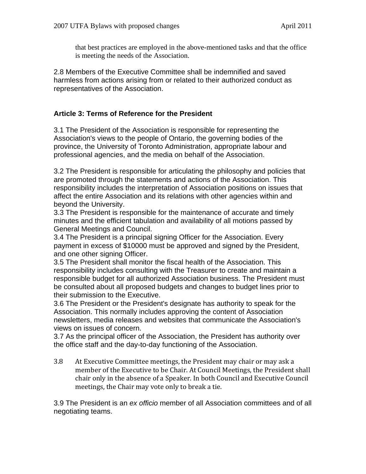that best practices are employed in the above-mentioned tasks and that the office is meeting the needs of the Association.

2.8 Members of the Executive Committee shall be indemnified and saved harmless from actions arising from or related to their authorized conduct as representatives of the Association.

## **Article 3: Terms of Reference for the President**

3.1 The President of the Association is responsible for representing the Association's views to the people of Ontario, the governing bodies of the province, the University of Toronto Administration, appropriate labour and professional agencies, and the media on behalf of the Association.

3.2 The President is responsible for articulating the philosophy and policies that are promoted through the statements and actions of the Association. This responsibility includes the interpretation of Association positions on issues that affect the entire Association and its relations with other agencies within and beyond the University.

3.3 The President is responsible for the maintenance of accurate and timely minutes and the efficient tabulation and availability of all motions passed by General Meetings and Council.

3.4 The President is a principal signing Officer for the Association. Every payment in excess of \$10000 must be approved and signed by the President, and one other signing Officer.

3.5 The President shall monitor the fiscal health of the Association. This responsibility includes consulting with the Treasurer to create and maintain a responsible budget for all authorized Association business. The President must be consulted about all proposed budgets and changes to budget lines prior to their submission to the Executive.

3.6 The President or the President's designate has authority to speak for the Association. This normally includes approving the content of Association newsletters, media releases and websites that communicate the Association's views on issues of concern.

3.7 As the principal officer of the Association, the President has authority over the office staff and the day-to-day functioning of the Association.

3.8 At Executive Committee meetings, the President may chair or may ask a member of the Executive to be Chair. At Council Meetings, the President shall chair only in the absence of a Speaker. In both Council and Executive Council meetings, the Chair may vote only to break a tie.

3.9 The President is an *ex officio* member of all Association committees and of all negotiating teams.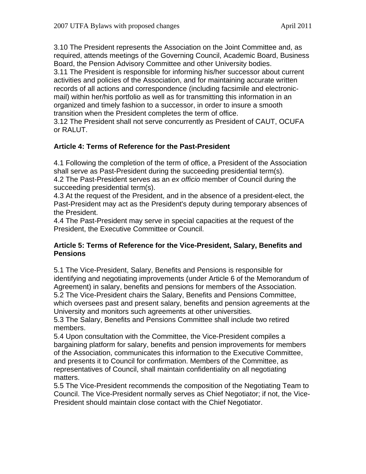3.10 The President represents the Association on the Joint Committee and, as required, attends meetings of the Governing Council, Academic Board, Business Board, the Pension Advisory Committee and other University bodies.

3.11 The President is responsible for informing his/her successor about current activities and policies of the Association, and for maintaining accurate written records of all actions and correspondence (including facsimile and electronicmail) within her/his portfolio as well as for transmitting this information in an organized and timely fashion to a successor, in order to insure a smooth transition when the President completes the term of office.

3.12 The President shall not serve concurrently as President of CAUT, OCUFA or RALUT.

## **Article 4: Terms of Reference for the Past-President**

4.1 Following the completion of the term of office, a President of the Association shall serve as Past-President during the succeeding presidential term(s). 4.2 The Past-President serves as an *ex officio* member of Council during the succeeding presidential term(s).

4.3 At the request of the President, and in the absence of a president-elect, the Past-President may act as the President's deputy during temporary absences of the President.

4.4 The Past-President may serve in special capacities at the request of the President, the Executive Committee or Council.

### **Article 5: Terms of Reference for the Vice-President, Salary, Benefits and Pensions**

5.1 The Vice-President, Salary, Benefits and Pensions is responsible for identifying and negotiating improvements (under Article 6 of the Memorandum of Agreement) in salary, benefits and pensions for members of the Association. 5.2 The Vice-President chairs the Salary, Benefits and Pensions Committee, which oversees past and present salary, benefits and pension agreements at the University and monitors such agreements at other universities.

5.3 The Salary, Benefits and Pensions Committee shall include two retired members.

5.4 Upon consultation with the Committee, the Vice-President compiles a bargaining platform for salary, benefits and pension improvements for members of the Association, communicates this information to the Executive Committee, and presents it to Council for confirmation. Members of the Committee, as representatives of Council, shall maintain confidentiality on all negotiating matters.

5.5 The Vice-President recommends the composition of the Negotiating Team to Council. The Vice-President normally serves as Chief Negotiator; if not, the Vice-President should maintain close contact with the Chief Negotiator.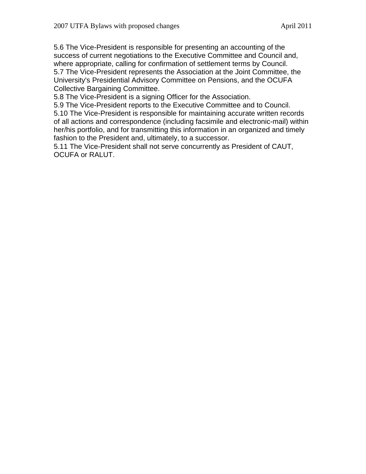5.6 The Vice-President is responsible for presenting an accounting of the success of current negotiations to the Executive Committee and Council and, where appropriate, calling for confirmation of settlement terms by Council. 5.7 The Vice-President represents the Association at the Joint Committee, the University's Presidential Advisory Committee on Pensions, and the OCUFA Collective Bargaining Committee.

5.8 The Vice-President is a signing Officer for the Association.

5.9 The Vice-President reports to the Executive Committee and to Council.

5.10 The Vice-President is responsible for maintaining accurate written records of all actions and correspondence (including facsimile and electronic-mail) within her/his portfolio, and for transmitting this information in an organized and timely fashion to the President and, ultimately, to a successor.

5.11 The Vice-President shall not serve concurrently as President of CAUT, OCUFA or RALUT.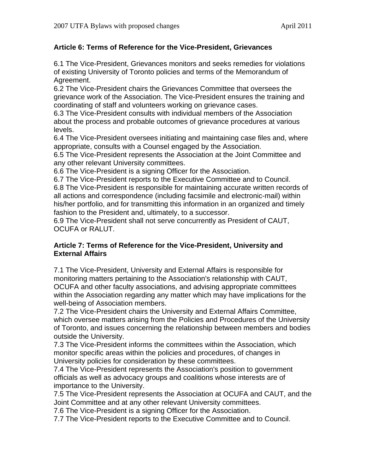## **Article 6: Terms of Reference for the Vice-President, Grievances**

6.1 The Vice-President, Grievances monitors and seeks remedies for violations of existing University of Toronto policies and terms of the Memorandum of Agreement.

6.2 The Vice-President chairs the Grievances Committee that oversees the grievance work of the Association. The Vice-President ensures the training and coordinating of staff and volunteers working on grievance cases.

6.3 The Vice-President consults with individual members of the Association about the process and probable outcomes of grievance procedures at various levels.

6.4 The Vice-President oversees initiating and maintaining case files and, where appropriate, consults with a Counsel engaged by the Association.

6.5 The Vice-President represents the Association at the Joint Committee and any other relevant University committees.

6.6 The Vice-President is a signing Officer for the Association.

6.7 The Vice-President reports to the Executive Committee and to Council. 6.8 The Vice-President is responsible for maintaining accurate written records of all actions and correspondence (including facsimile and electronic-mail) within his/her portfolio, and for transmitting this information in an organized and timely fashion to the President and, ultimately, to a successor.

6.9 The Vice-President shall not serve concurrently as President of CAUT, OCUFA or RALUT.

## **Article 7: Terms of Reference for the Vice-President, University and External Affairs**

7.1 The Vice-President, University and External Affairs is responsible for monitoring matters pertaining to the Association's relationship with CAUT, OCUFA and other faculty associations, and advising appropriate committees within the Association regarding any matter which may have implications for the well-being of Association members.

7.2 The Vice-President chairs the University and External Affairs Committee, which oversee matters arising from the Policies and Procedures of the University of Toronto, and issues concerning the relationship between members and bodies outside the University.

7.3 The Vice-President informs the committees within the Association, which monitor specific areas within the policies and procedures, of changes in University policies for consideration by these committees.

7.4 The Vice-President represents the Association's position to government officials as well as advocacy groups and coalitions whose interests are of importance to the University.

7.5 The Vice-President represents the Association at OCUFA and CAUT, and the Joint Committee and at any other relevant University committees.

7.6 The Vice-President is a signing Officer for the Association.

7.7 The Vice-President reports to the Executive Committee and to Council.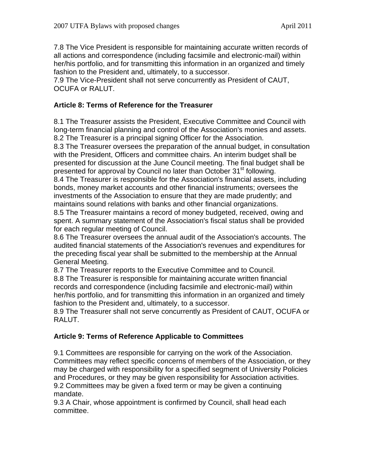7.8 The Vice President is responsible for maintaining accurate written records of all actions and correspondence (including facsimile and electronic-mail) within her/his portfolio, and for transmitting this information in an organized and timely fashion to the President and, ultimately, to a successor.

7.9 The Vice-President shall not serve concurrently as President of CAUT, OCUFA or RALUT.

## **Article 8: Terms of Reference for the Treasurer**

8.1 The Treasurer assists the President, Executive Committee and Council with long-term financial planning and control of the Association's monies and assets. 8.2 The Treasurer is a principal signing Officer for the Association.

8.3 The Treasurer oversees the preparation of the annual budget, in consultation with the President, Officers and committee chairs. An interim budget shall be presented for discussion at the June Council meeting. The final budget shall be presented for approval by Council no later than October 31<sup>st</sup> following.

8.4 The Treasurer is responsible for the Association's financial assets, including bonds, money market accounts and other financial instruments; oversees the investments of the Association to ensure that they are made prudently; and maintains sound relations with banks and other financial organizations.

8.5 The Treasurer maintains a record of money budgeted, received, owing and spent. A summary statement of the Association's fiscal status shall be provided for each regular meeting of Council.

8.6 The Treasurer oversees the annual audit of the Association's accounts. The audited financial statements of the Association's revenues and expenditures for the preceding fiscal year shall be submitted to the membership at the Annual General Meeting.

8.7 The Treasurer reports to the Executive Committee and to Council.

8.8 The Treasurer is responsible for maintaining accurate written financial records and correspondence (including facsimile and electronic-mail) within her/his portfolio, and for transmitting this information in an organized and timely fashion to the President and, ultimately, to a successor.

8.9 The Treasurer shall not serve concurrently as President of CAUT, OCUFA or RALUT.

### **Article 9: Terms of Reference Applicable to Committees**

9.1 Committees are responsible for carrying on the work of the Association. Committees may reflect specific concerns of members of the Association, or they may be charged with responsibility for a specified segment of University Policies and Procedures, or they may be given responsibility for Association activities. 9.2 Committees may be given a fixed term or may be given a continuing mandate.

9.3 A Chair, whose appointment is confirmed by Council, shall head each committee.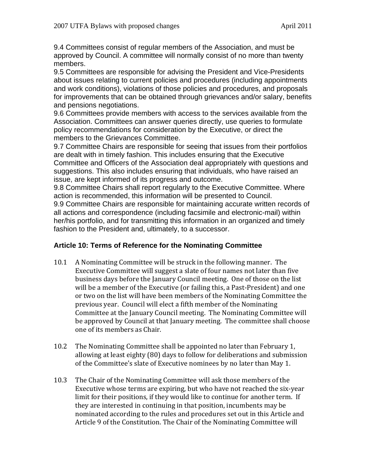9.4 Committees consist of regular members of the Association, and must be approved by Council. A committee will normally consist of no more than twenty members.

9.5 Committees are responsible for advising the President and Vice-Presidents about issues relating to current policies and procedures (including appointments and work conditions), violations of those policies and procedures, and proposals for improvements that can be obtained through grievances and/or salary, benefits and pensions negotiations.

9.6 Committees provide members with access to the services available from the Association. Committees can answer queries directly, use queries to formulate policy recommendations for consideration by the Executive, or direct the members to the Grievances Committee.

9.7 Committee Chairs are responsible for seeing that issues from their portfolios are dealt with in timely fashion. This includes ensuring that the Executive Committee and Officers of the Association deal appropriately with questions and suggestions. This also includes ensuring that individuals, who have raised an issue, are kept informed of its progress and outcome.

9.8 Committee Chairs shall report regularly to the Executive Committee. Where action is recommended, this information will be presented to Council. 9.9 Committee Chairs are responsible for maintaining accurate written records of all actions and correspondence (including facsimile and electronic-mail) within her/his portfolio, and for transmitting this information in an organized and timely fashion to the President and, ultimately, to a successor.

### **Article 10: Terms of Reference for the Nominating Committee**

- 10.1 A Nominating Committee will be struck in the following manner. The Executive Committee will suggest a slate of four names not later than five business days before the January Council meeting. One of those on the list will be a member of the Executive (or failing this, a Past-President) and one or two on the list will have been members of the Nominating Committee the previous year. Council will elect a fifth member of the Nominating Committee at the January Council meeting. The Nominating Committee will be approved by Council at that January meeting. The committee shall choose one of its members as Chair.
- 10.2 The Nominating Committee shall be appointed no later than February 1, allowing at least eighty (80) days to follow for deliberations and submission of the Committee's slate of Executive nominees by no later than May 1.
- 10.3 The Chair of the Nominating Committee will ask those members of the Executive whose terms are expiring, but who have not reached the six‐year limit for their positions, if they would like to continue for another term. If they are interested in continuing in that position, incumbents may be nominated according to the rules and procedures set out in this Article and Article 9 of the Constitution. The Chair of the Nominating Committee will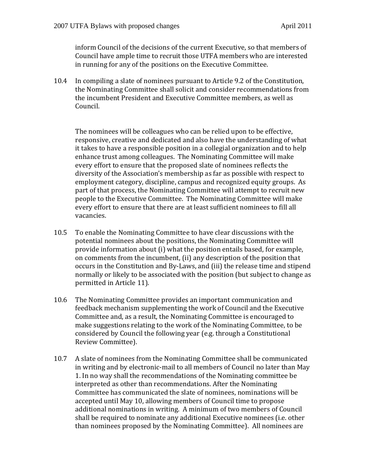inform Council of the decisions of the current Executive, so that members of Council have ample time to recruit those UTFA members who are interested in running for any of the positions on the Executive Committee.

10.4 In compiling a slate of nominees pursuant to Article 9.2 of the Constitution, the Nominating Committee shall solicit and consider recommendations from the incumbent President and Executive Committee members, as well as Council.

The nominees will be colleagues who can be relied upon to be effective, responsive, creative and dedicated and also have the understanding of what it takes to have a responsible position in a collegial organization and to help enhance trust among colleagues. The Nominating Committee will make every effort to ensure that the proposed slate of nominees reflects the diversity of the Association's membership as far as possible with respect to employment category, discipline, campus and recognized equity groups. As part of that process, the Nominating Committee will attempt to recruit new people to the Executive Committee. The Nominating Committee will make every effort to ensure that there are at least sufficient nominees to fill all vacancies.

- 10.5 To enable the Nominating Committee to have clear discussions with the potential nominees about the positions, the Nominating Committee will provide information about (i) what the position entails based, for example, on comments from the incumbent, (ii) any description of the position that occurs in the Constitution and By‐Laws, and (iii) the release time and stipend normally or likely to be associated with the position (but subject to change as permitted in Article 11).
- 10.6 The Nominating Committee provides an important communication and feedback mechanism supplementing the work of Council and the Executive Committee and, as a result, the Nominating Committee is encouraged to make suggestions relating to the work of the Nominating Committee, to be considered by Council the following year (e.g. through a Constitutional Review Committee).
- 10.7 A slate of nominees from the Nominating Committee shall be communicated in writing and by electronic‐mail to all members of Council no later than May 1. In no way shall the recommendations of the Nominating committee be interpreted as other than recommendations. After the Nominating Committee has communicated the slate of nominees, nominations will be accepted until May 10, allowing members of Council time to propose additional nominations in writing. A minimum of two members of Council shall be required to nominate any additional Executive nominees (i.e. other than nominees proposed by the Nominating Committee). All nominees are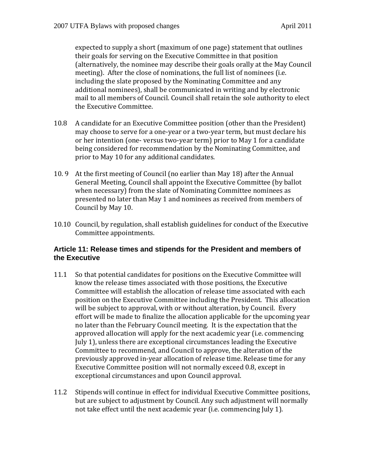expected to supply a short (maximum of one page) statement that outlines their goals for serving on the Executive Committee in that position (alternatively, the nominee may describe their goals orally at the May Council meeting). After the close of nominations, the full list of nominees (i.e. including the slate proposed by the Nominating Committee and any additional nominees), shall be communicated in writing and by electronic mail to all members of Council. Council shall retain the sole authority to elect the Executive Committee.

- 10.8 A candidate for an Executive Committee position (other than the President) may choose to serve for a one‐year or a two‐year term, but must declare his or her intention (one‐ versus two‐year term) prior to May 1 for a candidate being considered for recommendation by the Nominating Committee, and prior to May 10 for any additional candidates.
- 10. 9 At the first meeting of Council (no earlier than May 18) after the Annual General Meeting, Council shall appoint the Executive Committee (by ballot when necessary) from the slate of Nominating Committee nominees as presented no later than May 1 and nominees as received from members of Council by May 10.
- 10.10 Council, by regulation, shall establish guidelines for conduct of the Executive Committee appointments.

### **Article 11: Release times and stipends for the President and members of the Executive**

- 11.1 So that potential candidates for positions on the Executive Committee will know the release times associated with those positions, the Executive Committee will establish the allocation of release time associated with each position on the Executive Committee including the President. This allocation will be subject to approval, with or without alteration, by Council. Every effort will be made to finalize the allocation applicable for the upcoming year no later than the February Council meeting. It is the expectation that the approved allocation will apply for the next academic year (i.e. commencing July 1), unless there are exceptional circumstances leading the Executive Committee to recommend, and Council to approve, the alteration of the previously approved in‐year allocation of release time. Release time for any Executive Committee position will not normally exceed 0.8, except in exceptional circumstances and upon Council approval.
- 11.2 Stipends will continue in effect for individual Executive Committee positions, but are subject to adjustment by Council. Any such adjustment will normally not take effect until the next academic year (i.e. commencing July 1).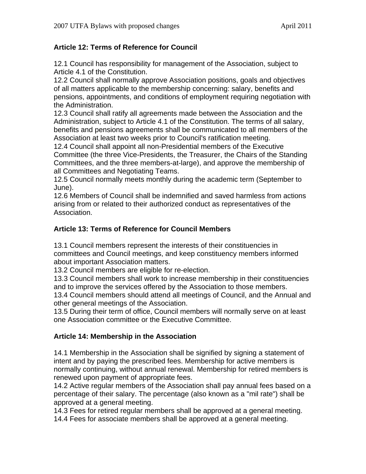## **Article 12: Terms of Reference for Council**

12.1 Council has responsibility for management of the Association, subject to Article 4.1 of the Constitution.

12.2 Council shall normally approve Association positions, goals and objectives of all matters applicable to the membership concerning: salary, benefits and pensions, appointments, and conditions of employment requiring negotiation with the Administration.

12.3 Council shall ratify all agreements made between the Association and the Administration, subject to Article 4.1 of the Constitution. The terms of all salary, benefits and pensions agreements shall be communicated to all members of the Association at least two weeks prior to Council's ratification meeting.

12.4 Council shall appoint all non-Presidential members of the Executive Committee (the three Vice-Presidents, the Treasurer, the Chairs of the Standing Committees, and the three members-at-large), and approve the membership of all Committees and Negotiating Teams.

12.5 Council normally meets monthly during the academic term (September to June).

12.6 Members of Council shall be indemnified and saved harmless from actions arising from or related to their authorized conduct as representatives of the Association.

## **Article 13: Terms of Reference for Council Members**

13.1 Council members represent the interests of their constituencies in committees and Council meetings, and keep constituency members informed about important Association matters.

13.2 Council members are eligible for re-election.

13.3 Council members shall work to increase membership in their constituencies and to improve the services offered by the Association to those members.

13.4 Council members should attend all meetings of Council, and the Annual and other general meetings of the Association.

13.5 During their term of office, Council members will normally serve on at least one Association committee or the Executive Committee.

### **Article 14: Membership in the Association**

14.1 Membership in the Association shall be signified by signing a statement of intent and by paying the prescribed fees. Membership for active members is normally continuing, without annual renewal. Membership for retired members is renewed upon payment of appropriate fees.

14.2 Active regular members of the Association shall pay annual fees based on a percentage of their salary. The percentage (also known as a "mil rate") shall be approved at a general meeting.

14.3 Fees for retired regular members shall be approved at a general meeting.

14.4 Fees for associate members shall be approved at a general meeting.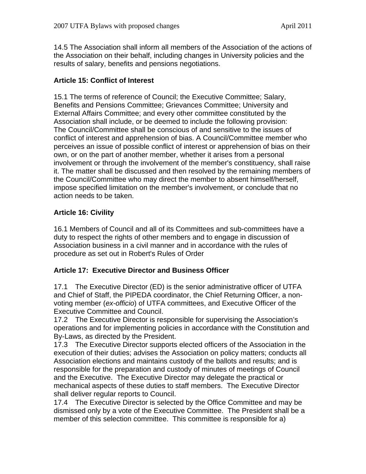14.5 The Association shall inform all members of the Association of the actions of the Association on their behalf, including changes in University policies and the results of salary, benefits and pensions negotiations.

## **Article 15: Conflict of Interest**

15.1 The terms of reference of Council; the Executive Committee; Salary, Benefits and Pensions Committee; Grievances Committee; University and External Affairs Committee; and every other committee constituted by the Association shall include, or be deemed to include the following provision: The Council/Committee shall be conscious of and sensitive to the issues of conflict of interest and apprehension of bias. A Council/Committee member who perceives an issue of possible conflict of interest or apprehension of bias on their own, or on the part of another member, whether it arises from a personal involvement or through the involvement of the member's constituency, shall raise it. The matter shall be discussed and then resolved by the remaining members of the Council/Committee who may direct the member to absent himself/herself, impose specified limitation on the member's involvement, or conclude that no action needs to be taken.

## **Article 16: Civility**

16.1 Members of Council and all of its Committees and sub-committees have a duty to respect the rights of other members and to engage in discussion of Association business in a civil manner and in accordance with the rules of procedure as set out in Robert's Rules of Order

### **Article 17: Executive Director and Business Officer**

17.1 The Executive Director (ED) is the senior administrative officer of UTFA and Chief of Staff, the PIPEDA coordinator, the Chief Returning Officer, a nonvoting member (*ex-officio*) of UTFA committees, and Executive Officer of the Executive Committee and Council.

17.2 The Executive Director is responsible for supervising the Association's operations and for implementing policies in accordance with the Constitution and By-Laws, as directed by the President.

17.3 The Executive Director supports elected officers of the Association in the execution of their duties; advises the Association on policy matters; conducts all Association elections and maintains custody of the ballots and results; and is responsible for the preparation and custody of minutes of meetings of Council and the Executive. The Executive Director may delegate the practical or mechanical aspects of these duties to staff members. The Executive Director shall deliver regular reports to Council.

17.4 The Executive Director is selected by the Office Committee and may be dismissed only by a vote of the Executive Committee. The President shall be a member of this selection committee. This committee is responsible for a)